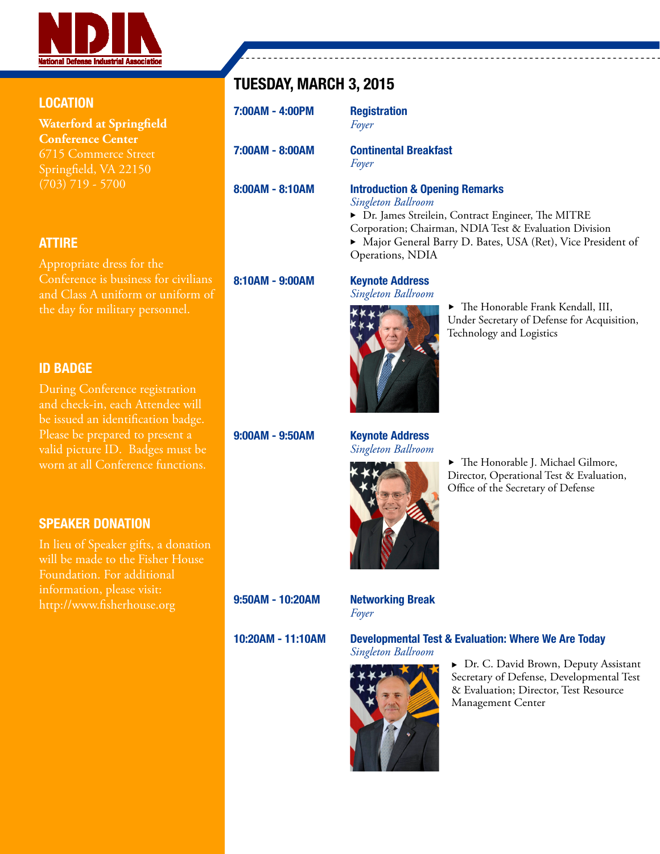

#### LOCATION

**Waterford at Springfield Conference Center** Springfield, VA 22150 (703) 719 - 5700

#### ATTIRE

Appropriate dress for the Conference is business for civilians and Class A uniform or uniform of the day for military personnel.

#### ID BADGE

During Conference registration and check-in, each Attendee will be issued an identification badge. Please be prepared to present a valid picture ID. Badges must be worn at all Conference functions.

#### SPEAKER DONATION

In lieu of Speaker gifts, a donation will be made to the Fisher House Foundation. For additional information, please visit: http://www.fisherhouse.org

### TUESDAY, MARCH 3, 2015

| 7:00AM - 4:00PM | <b>Registration</b><br>Foyer                                                                                                                                                                                                                     |
|-----------------|--------------------------------------------------------------------------------------------------------------------------------------------------------------------------------------------------------------------------------------------------|
| 7:00AM - 8:00AM | <b>Continental Breakfast</b><br>Foyer                                                                                                                                                                                                            |
| 8:00AM - 8:10AM | <b>Introduction &amp; Opening Remarks</b><br>Singleton Ballroom<br>> Dr. James Streilein, Contract Engineer, The MITRE<br>Corporation; Chairman, NDIA Test & Evaluation Division<br>• Major General Barry D. Bates, USA (Ret), Vice President of |

8:10AM - 9:00AM Keynote Address

9:00AM - 9:50AM Keynote Address *Singleton Ballroom*

Operations, NDIA

*Singleton Ballroom*



 $\blacktriangleright$  The Honorable J. Michael Gilmore, Director, Operational Test & Evaluation, Office of the Secretary of Defense

 $\blacktriangleright$  The Honorable Frank Kendall, III, Under Secretary of Defense for Acquisition,

Technology and Logistics

9:50AM - 10:20AM Networking Break

*Foyer*

#### 10:20AM - 11:10AM Developmental Test & Evaluation: Where We Are Today

*Singleton Ballroom*



▶ Dr. C. David Brown, Deputy Assistant Secretary of Defense, Developmental Test & Evaluation; Director, Test Resource Management Center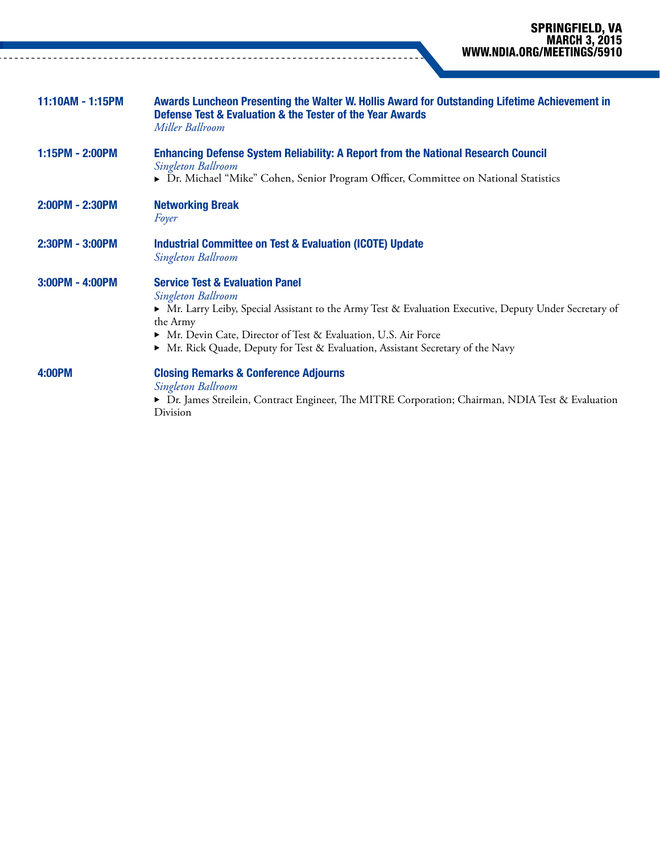| 11:10AM - 1:15PM | Awards Luncheon Presenting the Walter W. Hollis Award for Outstanding Lifetime Achievement in<br>Defense Test & Evaluation & the Tester of the Year Awards<br>Miller Ballroom                                                                                                                                                                 |
|------------------|-----------------------------------------------------------------------------------------------------------------------------------------------------------------------------------------------------------------------------------------------------------------------------------------------------------------------------------------------|
| 1:15PM - 2:00PM  | <b>Enhancing Defense System Reliability: A Report from the National Research Council</b><br>Singleton Ballroom<br>▶ Dr. Michael "Mike" Cohen, Senior Program Officer, Committee on National Statistics                                                                                                                                        |
| 2:00PM - 2:30PM  | <b>Networking Break</b><br>Foyer                                                                                                                                                                                                                                                                                                              |
| 2:30PM - 3:00PM  | <b>Industrial Committee on Test &amp; Evaluation (ICOTE) Update</b><br>Singleton Ballroom                                                                                                                                                                                                                                                     |
| 3:00PM - 4:00PM  | <b>Service Test &amp; Evaluation Panel</b><br>Singleton Ballroom<br>▶ Mr. Larry Leiby, Special Assistant to the Army Test & Evaluation Executive, Deputy Under Secretary of<br>the Army<br>• Mr. Devin Cate, Director of Test & Evaluation, U.S. Air Force<br>• Mr. Rick Quade, Deputy for Test & Evaluation, Assistant Secretary of the Navy |
| <b>4:00PM</b>    | <b>Closing Remarks &amp; Conference Adjourns</b><br>Singleton Ballroom<br>▶ Dr. James Streilein, Contract Engineer, The MITRE Corporation; Chairman, NDIA Test & Evaluation<br>Division                                                                                                                                                       |

 $\sim$   $\sim$ 

 $1 - 1 - 1$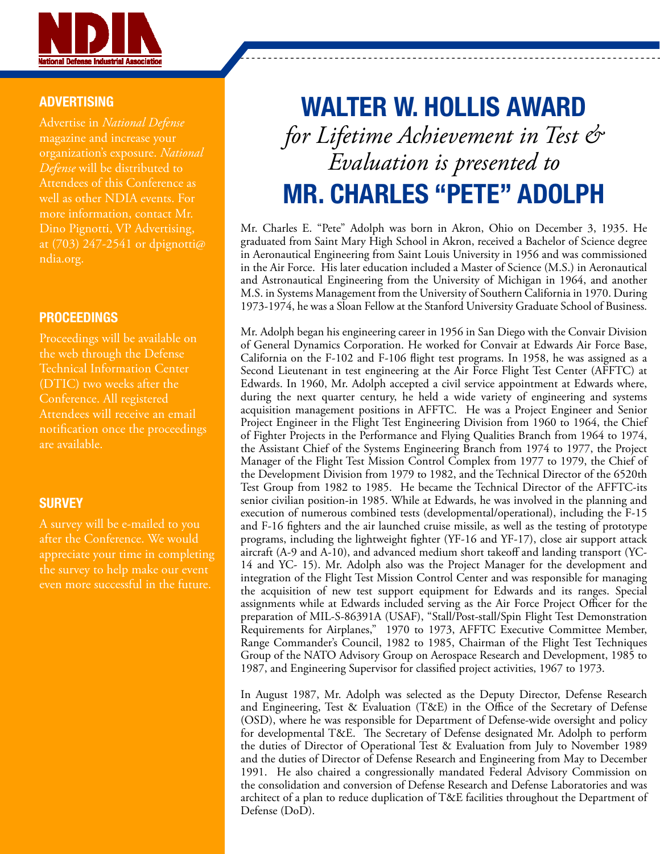

#### **ADVERTISING**

Advertise in *National Defense* magazine and increase your organization's exposure. *National Defense* will be distributed to Attendees of this Conference as well as other NDIA events. For more information, contact Mr. Dino Pignotti, VP Advertising, at (703) 247-2541 or dpignotti@ ndia.org.

#### PROCEEDINGS

Proceedings will be available on the web through the Defense Technical Information Center (DTIC) two weeks after the Conference. All registered Attendees will receive an email notification once the proceedings are available.

#### **SURVEY**

A survey will be e-mailed to you after the Conference. We would appreciate your time in completing the survey to help make our event even more successful in the future.

# WALTER W. HOLLIS AWARD *for Lifetime Achievement in Test & Evaluation is presented to* MR. CHARLES "PETE" ADOLPH

Mr. Charles E. "Pete" Adolph was born in Akron, Ohio on December 3, 1935. He graduated from Saint Mary High School in Akron, received a Bachelor of Science degree in Aeronautical Engineering from Saint Louis University in 1956 and was commissioned in the Air Force. His later education included a Master of Science (M.S.) in Aeronautical and Astronautical Engineering from the University of Michigan in 1964, and another M.S. in Systems Management from the University of Southern California in 1970. During 1973-1974, he was a Sloan Fellow at the Stanford University Graduate School of Business.

Mr. Adolph began his engineering career in 1956 in San Diego with the Convair Division of General Dynamics Corporation. He worked for Convair at Edwards Air Force Base, California on the F-102 and F-106 flight test programs. In 1958, he was assigned as a Second Lieutenant in test engineering at the Air Force Flight Test Center (AFFTC) at Edwards. In 1960, Mr. Adolph accepted a civil service appointment at Edwards where, during the next quarter century, he held a wide variety of engineering and systems acquisition management positions in AFFTC. He was a Project Engineer and Senior Project Engineer in the Flight Test Engineering Division from 1960 to 1964, the Chief of Fighter Projects in the Performance and Flying Qualities Branch from 1964 to 1974, the Assistant Chief of the Systems Engineering Branch from 1974 to 1977, the Project Manager of the Flight Test Mission Control Complex from 1977 to 1979, the Chief of the Development Division from 1979 to 1982, and the Technical Director of the 6520th Test Group from 1982 to 1985. He became the Technical Director of the AFFTC-its senior civilian position-in 1985. While at Edwards, he was involved in the planning and execution of numerous combined tests (developmental/operational), including the F-15 and F-16 fighters and the air launched cruise missile, as well as the testing of prototype programs, including the lightweight fighter (YF-16 and YF-17), close air support attack aircraft (A-9 and A-10), and advanced medium short takeoff and landing transport (YC-14 and YC- 15). Mr. Adolph also was the Project Manager for the development and integration of the Flight Test Mission Control Center and was responsible for managing the acquisition of new test support equipment for Edwards and its ranges. Special assignments while at Edwards included serving as the Air Force Project Officer for the preparation of MIL-S-86391A (USAF), "Stall/Post-stall/Spin Flight Test Demonstration Requirements for Airplanes," 1970 to 1973, AFFTC Executive Committee Member, Range Commander's Council, 1982 to 1985, Chairman of the Flight Test Techniques Group of the NATO Advisory Group on Aerospace Research and Development, 1985 to 1987, and Engineering Supervisor for classified project activities, 1967 to 1973.

In August 1987, Mr. Adolph was selected as the Deputy Director, Defense Research and Engineering, Test & Evaluation (T&E) in the Office of the Secretary of Defense (OSD), where he was responsible for Department of Defense-wide oversight and policy for developmental T&E. The Secretary of Defense designated Mr. Adolph to perform the duties of Director of Operational Test & Evaluation from July to November 1989 and the duties of Director of Defense Research and Engineering from May to December 1991. He also chaired a congressionally mandated Federal Advisory Commission on the consolidation and conversion of Defense Research and Defense Laboratories and was architect of a plan to reduce duplication of T&E facilities throughout the Department of Defense (DoD).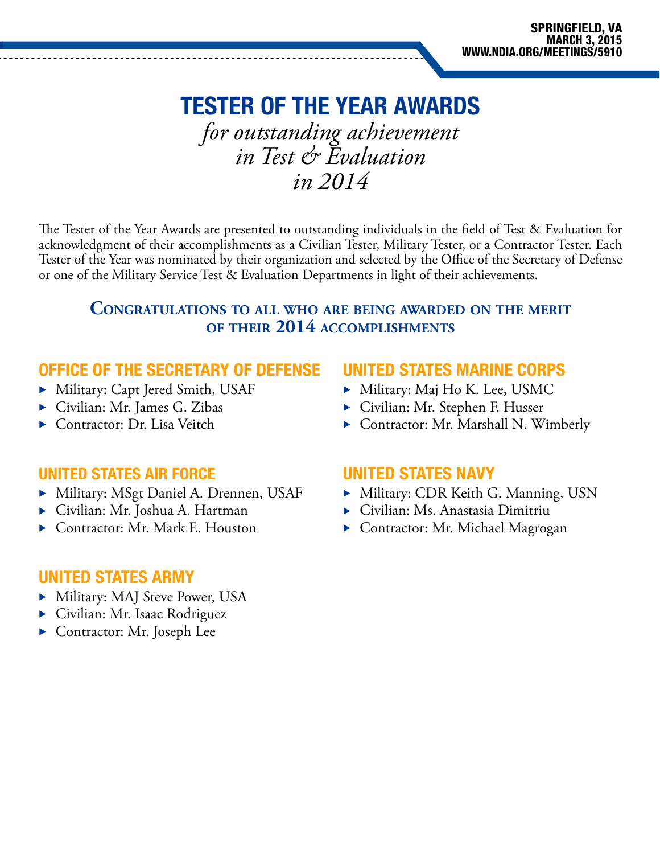## TESTER OF THE YEAR AWARDS

*for outstanding achievement in Test & Evaluation in 2014*

The Tester of the Year Awards are presented to outstanding individuals in the field of Test & Evaluation for acknowledgment of their accomplishments as a Civilian Tester, Military Tester, or a Contractor Tester. Each Tester of the Year was nominated by their organization and selected by the Office of the Secretary of Defense or one of the Military Service Test & Evaluation Departments in light of their achievements.

#### **Congratulations to all who are being awarded on the merit of their 2014 accomplishments**

#### OFFICE OF THE SECRETARY OF DEFENSE

- Military: Capt Jered Smith, USAF
- $\triangleright$  Civilian: Mr. James G. Zibas
- $\blacktriangleright$  Contractor: Dr. Lisa Veitch

#### UNITED STATES AIR FORCE

- Military: MSgt Daniel A. Drennen, USAF
- ▶ Civilian: Mr. Joshua A. Hartman
- Contractor: Mr. Mark E. Houston

#### UNITED STATES MARINE CORPS

- Military: Maj Ho K. Lee, USMC
- ▶ Civilian: Mr. Stephen F. Husser
- $\triangleright$  Contractor: Mr. Marshall N. Wimberly

#### UNITED STATES NAVY

- Military: CDR Keith G. Manning, USN
- $\blacktriangleright$  Civilian: Ms. Anastasia Dimitriu
- $\triangleright$  Contractor: Mr. Michael Magrogan

#### UNITED STATES ARMY

- Military: MAJ Steve Power, USA
- $\triangleright$  Civilian: Mr. Isaac Rodriguez
- $\triangleright$  Contractor: Mr. Joseph Lee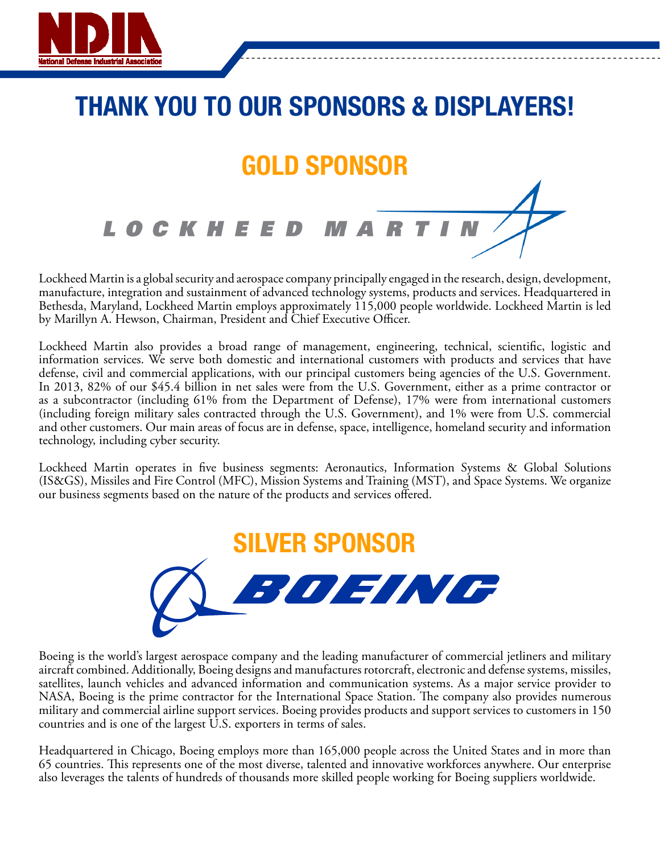

# THANK YOU TO OUR SPONSORS & DISPLAYERS!GOLD SPONSOR **LOCKHEED**

Lockheed Martin is a global security and aerospace company principally engaged in the research, design, development, manufacture, integration and sustainment of advanced technology systems, products and services. Headquartered in Bethesda, Maryland, Lockheed Martin employs approximately 115,000 people worldwide. Lockheed Martin is led by Marillyn A. Hewson, Chairman, President and Chief Executive Officer.

Lockheed Martin also provides a broad range of management, engineering, technical, scientific, logistic and information services. We serve both domestic and international customers with products and services that have defense, civil and commercial applications, with our principal customers being agencies of the U.S. Government. In 2013, 82% of our \$45.4 billion in net sales were from the U.S. Government, either as a prime contractor or as a subcontractor (including 61% from the Department of Defense), 17% were from international customers (including foreign military sales contracted through the U.S. Government), and 1% were from U.S. commercial and other customers. Our main areas of focus are in defense, space, intelligence, homeland security and information technology, including cyber security.

Lockheed Martin operates in five business segments: Aeronautics, Information Systems & Global Solutions (IS&GS), Missiles and Fire Control (MFC), Mission Systems and Training (MST), and Space Systems. We organize our business segments based on the nature of the products and services offered.



Boeing is the world's largest aerospace company and the leading manufacturer of commercial jetliners and military aircraft combined. Additionally, Boeing designs and manufactures rotorcraft, electronic and defense systems, missiles, satellites, launch vehicles and advanced information and communication systems. As a major service provider to NASA, Boeing is the prime contractor for the International Space Station. The company also provides numerous military and commercial airline support services. Boeing provides products and support services to customers in 150 countries and is one of the largest U.S. exporters in terms of sales.

Headquartered in Chicago, Boeing employs more than 165,000 people across the United States and in more than 65 countries. This represents one of the most diverse, talented and innovative workforces anywhere. Our enterprise also leverages the talents of hundreds of thousands more skilled people working for Boeing suppliers worldwide.